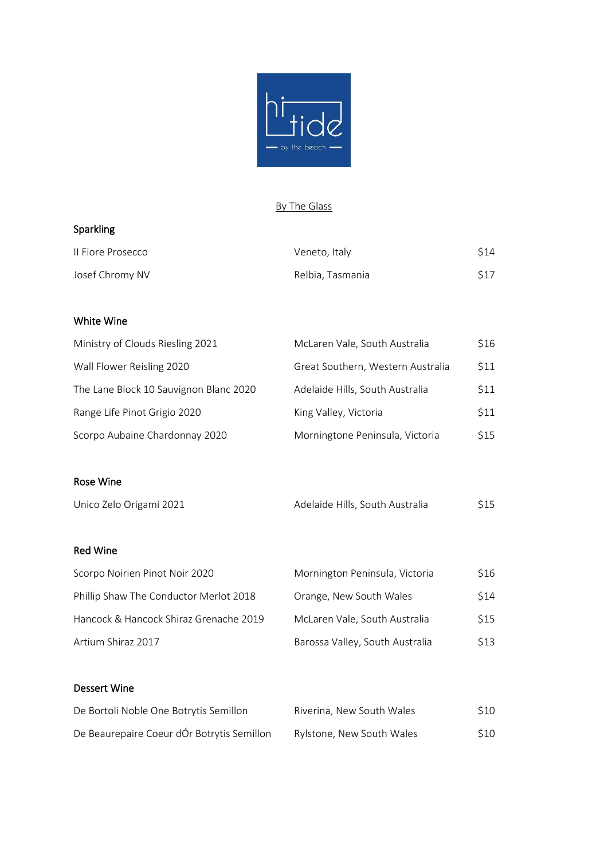

# By The Glass

# Sparkling

| Il Fiore Prosecco | Veneto, Italy    | \$14 |
|-------------------|------------------|------|
| Josef Chromy NV   | Relbia, Tasmania | \$17 |

# White Wine

| Ministry of Clouds Riesling 2021       | McLaren Vale, South Australia     | \$16 |
|----------------------------------------|-----------------------------------|------|
| Wall Flower Reisling 2020              | Great Southern, Western Australia | \$11 |
| The Lane Block 10 Sauvignon Blanc 2020 | Adelaide Hills, South Australia   | \$11 |
| Range Life Pinot Grigio 2020           | King Valley, Victoria             | \$11 |
| Scorpo Aubaine Chardonnay 2020         | Morningtone Peninsula, Victoria   | \$15 |
|                                        |                                   |      |
| Rose Wine                              |                                   |      |

| Unico Zelo Origami 2021 | Adelaide Hills, South Australia | \$15 |
|-------------------------|---------------------------------|------|
|                         |                                 |      |

# Red Wine

| Scorpo Noirien Pinot Noir 2020         | Mornington Peninsula, Victoria  | \$16 |
|----------------------------------------|---------------------------------|------|
| Phillip Shaw The Conductor Merlot 2018 | Orange, New South Wales         | \$14 |
| Hancock & Hancock Shiraz Grenache 2019 | McLaren Vale, South Australia   | \$15 |
| Artium Shiraz 2017                     | Barossa Valley, South Australia | \$13 |

# Dessert Wine

| De Bortoli Noble One Botrytis Semillon     | Riverina, New South Wales | \$10 |
|--------------------------------------------|---------------------------|------|
| De Beaurepaire Coeur dÓr Botrytis Semillon | Rylstone, New South Wales | \$10 |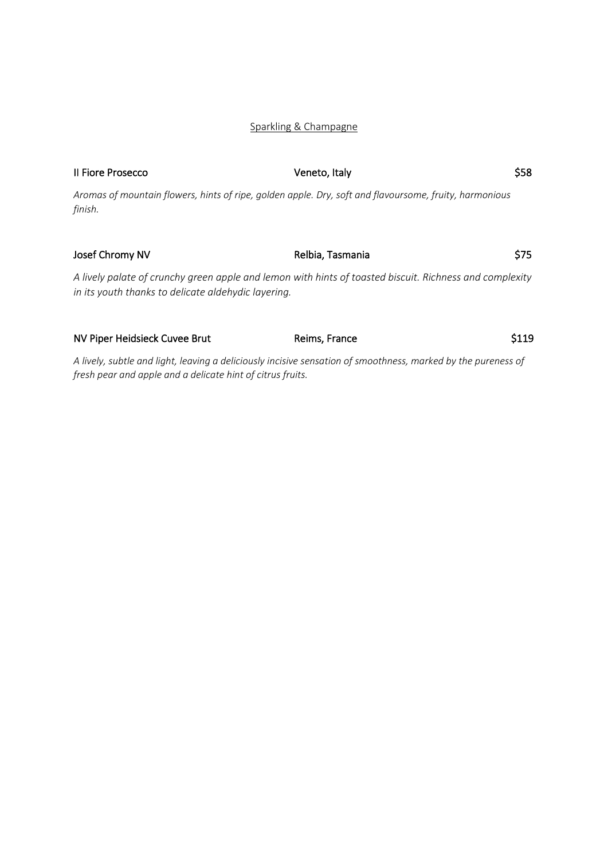# Sparkling & Champagne

| Il Fiore Prosecco                                   | Veneto, Italy                                                                                           | \$58 |
|-----------------------------------------------------|---------------------------------------------------------------------------------------------------------|------|
| finish.                                             | Aromas of mountain flowers, hints of ripe, golden apple. Dry, soft and flavoursome, fruity, harmonious  |      |
| Josef Chromy NV                                     | Relbia, Tasmania                                                                                        | \$75 |
| in its youth thanks to delicate aldehydic layering. | A lively palate of crunchy green apple and lemon with hints of toasted biscuit. Richness and complexity |      |
| NV Piper Heidsieck Cuvee Brut                       | Reims, France                                                                                           | S119 |

*A lively, subtle and light, leaving a deliciously incisive sensation of smoothness, marked by the pureness of fresh pear and apple and a delicate hint of citrus fruits.*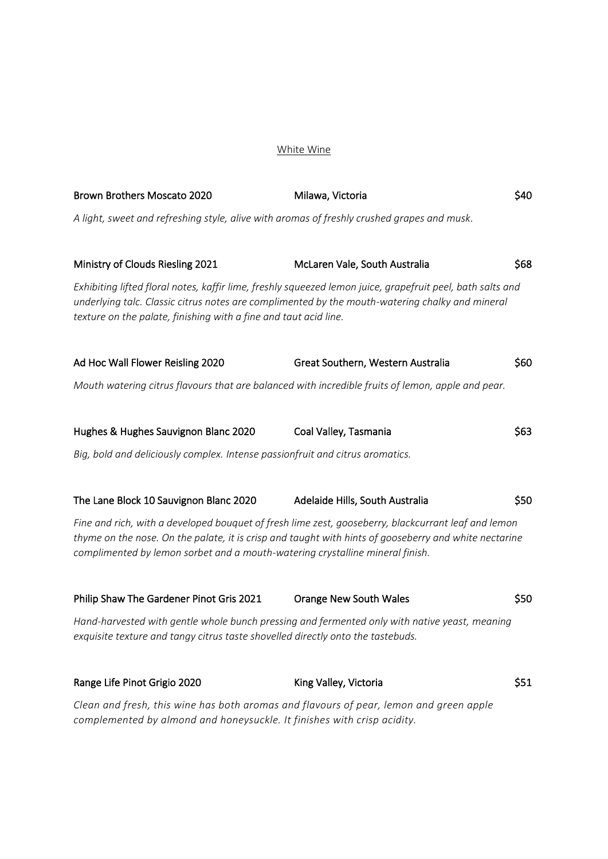### White Wine

| Brown Brothers Moscato 2020                                                                                                                                                                                                                                                                   | Milawa, Victoria                                                                                                                                                                                              | \$40 |
|-----------------------------------------------------------------------------------------------------------------------------------------------------------------------------------------------------------------------------------------------------------------------------------------------|---------------------------------------------------------------------------------------------------------------------------------------------------------------------------------------------------------------|------|
| A light, sweet and refreshing style, alive with aromas of freshly crushed grapes and musk.                                                                                                                                                                                                    |                                                                                                                                                                                                               |      |
|                                                                                                                                                                                                                                                                                               |                                                                                                                                                                                                               |      |
| Ministry of Clouds Riesling 2021                                                                                                                                                                                                                                                              | McLaren Vale, South Australia                                                                                                                                                                                 | \$68 |
| texture on the palate, finishing with a fine and taut acid line.                                                                                                                                                                                                                              | Exhibiting lifted floral notes, kaffir lime, freshly squeezed lemon juice, grapefruit peel, bath salts and<br>underlying talc. Classic citrus notes are complimented by the mouth-watering chalky and mineral |      |
| Ad Hoc Wall Flower Reisling 2020                                                                                                                                                                                                                                                              | Great Southern, Western Australia                                                                                                                                                                             | \$60 |
| Mouth watering citrus flavours that are balanced with incredible fruits of lemon, apple and pear.                                                                                                                                                                                             |                                                                                                                                                                                                               |      |
|                                                                                                                                                                                                                                                                                               |                                                                                                                                                                                                               |      |
| Hughes & Hughes Sauvignon Blanc 2020                                                                                                                                                                                                                                                          | Coal Valley, Tasmania                                                                                                                                                                                         | \$63 |
| Big, bold and deliciously complex. Intense passionfruit and citrus aromatics.                                                                                                                                                                                                                 |                                                                                                                                                                                                               |      |
|                                                                                                                                                                                                                                                                                               |                                                                                                                                                                                                               |      |
| The Lane Block 10 Sauvignon Blanc 2020                                                                                                                                                                                                                                                        | Adelaide Hills, South Australia                                                                                                                                                                               | \$50 |
| Fine and rich, with a developed bouquet of fresh lime zest, gooseberry, blackcurrant leaf and lemon<br>thyme on the nose. On the palate, it is crisp and taught with hints of gooseberry and white nectarine<br>complimented by lemon sorbet and a mouth-watering crystalline mineral finish. |                                                                                                                                                                                                               |      |
| Philip Shaw The Gardener Pinot Gris 2021                                                                                                                                                                                                                                                      | <b>Orange New South Wales</b>                                                                                                                                                                                 | \$50 |
| exquisite texture and tangy citrus taste shovelled directly onto the tastebuds.                                                                                                                                                                                                               | Hand-harvested with gentle whole bunch pressing and fermented only with native yeast, meaning                                                                                                                 |      |
| Range Life Pinot Grigio 2020                                                                                                                                                                                                                                                                  | King Valley, Victoria                                                                                                                                                                                         | \$51 |
| Clean and fresh, this wine has both aromas and flavours of pear, lemon and green apple<br>complemented by almond and honeysuckle. It finishes with crisp acidity.                                                                                                                             |                                                                                                                                                                                                               |      |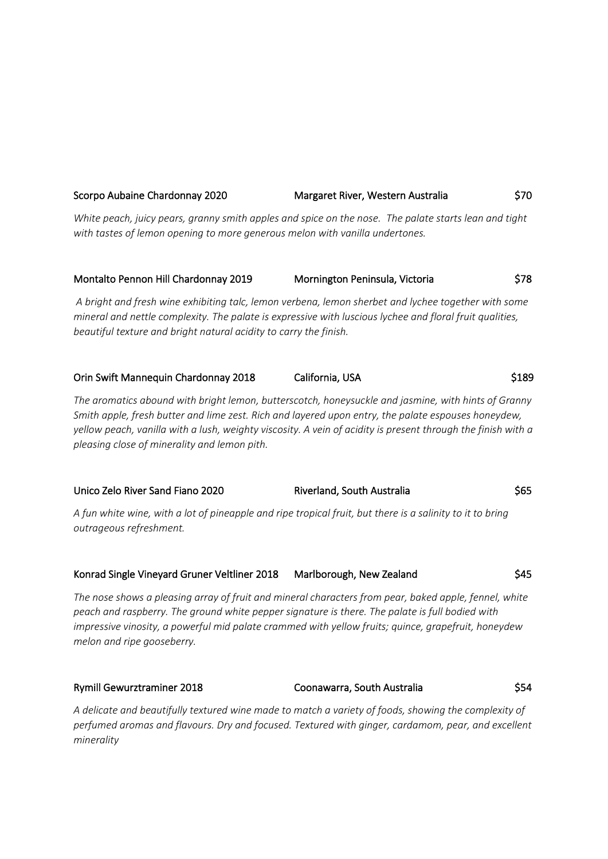# Scorpo Aubaine Chardonnay 2020 Margaret River, Western Australia  $\frac{1}{570}$ *White peach, juicy pears, granny smith apples and spice on the nose. The palate starts lean and tight with tastes of lemon opening to more generous melon with vanilla undertones.*

# Montalto Pennon Hill Chardonnay 2019 Mornington Peninsula, Victoria \$78

*A bright and fresh wine exhibiting talc, lemon verbena, lemon sherbet and lychee together with some mineral and nettle complexity. The palate is expressive with luscious lychee and floral fruit qualities, beautiful texture and bright natural acidity to carry the finish.*

| Orin Swift Mannequin Chardonnay 2018 | California, USA | \$189 |
|--------------------------------------|-----------------|-------|
|--------------------------------------|-----------------|-------|

*The aromatics abound with bright lemon, butterscotch, honeysuckle and jasmine, with hints of Granny Smith apple, fresh butter and lime zest. Rich and layered upon entry, the palate espouses honeydew, yellow peach, vanilla with a lush, weighty viscosity. A vein of acidity is present through the finish with a pleasing close of minerality and lemon pith.*

| Unico Zelo River Sand Fiano 2020 | Riverland, South Australia                                                                                | \$65 |
|----------------------------------|-----------------------------------------------------------------------------------------------------------|------|
|                                  | A fun white wine, with a lot of pineapple and ripe tropical fruit, but there is a salinity to it to bring |      |

*A fun white wine, with a lot of pineapple and ripe tropical fruit, but there is a salinity to it to bring outrageous refreshment.*

# Konrad Single Vineyard Gruner Veltliner 2018 Marlborough, New Zealand \$45

*The nose shows a pleasing array of fruit and mineral characters from pear, baked apple, fennel, white peach and raspberry. The ground white pepper signature is there. The palate is full bodied with impressive vinosity, a powerful mid palate crammed with yellow fruits; quince, grapefruit, honeydew melon and ripe gooseberry.*

# Rymill Gewurztraminer 2018 Coonawarra, South Australia \$54

*A delicate and beautifully textured wine made to match a variety of foods, showing the complexity of perfumed aromas and flavours. Dry and focused. Textured with ginger, cardamom, pear, and excellent minerality*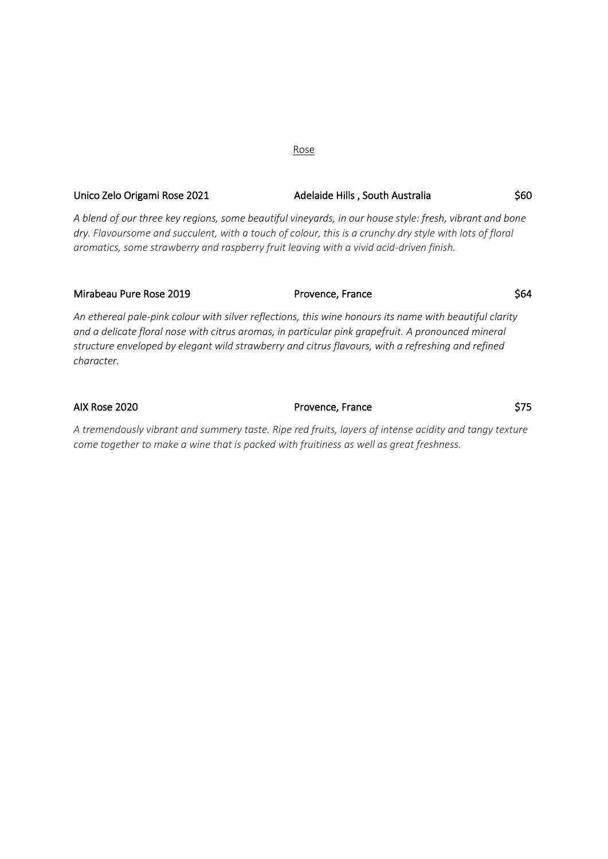# Unico Zelo Origami Rose 2021 Martin Adelaide Hills , South Australia (560)

*A blend of our three key regions, some beautiful vineyards, in our house style: fresh, vibrant and bone dry. Flavoursome and succulent, with a touch of colour, this is a crunchy dry style with lots of floral aromatics, some strawberry and raspberry fruit leaving with a vivid acid-driven finish.*

| Mirabeau Pure Rose 2019 | Provence, France                                                                                        | \$64 |
|-------------------------|---------------------------------------------------------------------------------------------------------|------|
|                         | An ethereal pale-pink colour with silver reflections, this wine honours its name with beautiful clarity |      |
|                         | and a delicate fleral pece with eitrus aremas, in particular piple arguetruit. A prepeupeed mineral     |      |

*and a delicate floral nose with citrus aromas, in particular pink grapefruit. A pronounced mineral structure enveloped by elegant wild strawberry and citrus flavours, with a refreshing and refined character.*

AIX Rose 2020 **Provence, France Provence**, France

*A tremendously vibrant and summery taste. Ripe red fruits, layers of intense acidity and tangy texture come together to make a wine that is packed with fruitiness as well as great freshness.* 

#### Rose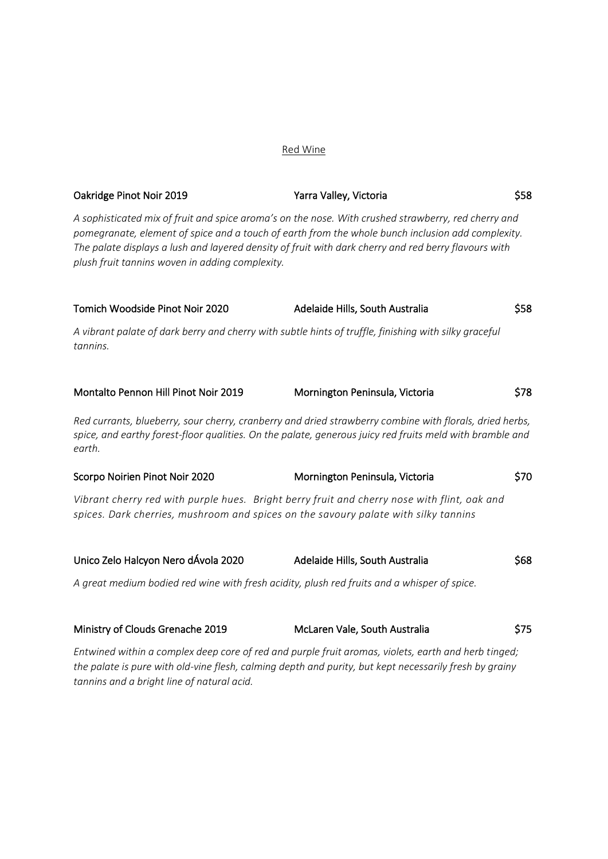### Red Wine

| Oakridge Pinot Noir 2019                                                                                                                                                           | Yarra Valley, Victoria                                                                                                                                                                                                                                                                                           | \$58 |
|------------------------------------------------------------------------------------------------------------------------------------------------------------------------------------|------------------------------------------------------------------------------------------------------------------------------------------------------------------------------------------------------------------------------------------------------------------------------------------------------------------|------|
| plush fruit tannins woven in adding complexity.                                                                                                                                    | A sophisticated mix of fruit and spice aroma's on the nose. With crushed strawberry, red cherry and<br>pomegranate, element of spice and a touch of earth from the whole bunch inclusion add complexity.<br>The palate displays a lush and layered density of fruit with dark cherry and red berry flavours with |      |
| Tomich Woodside Pinot Noir 2020                                                                                                                                                    | Adelaide Hills, South Australia                                                                                                                                                                                                                                                                                  | \$58 |
| A vibrant palate of dark berry and cherry with subtle hints of truffle, finishing with silky graceful<br>tannins.                                                                  |                                                                                                                                                                                                                                                                                                                  |      |
| Montalto Pennon Hill Pinot Noir 2019                                                                                                                                               | Mornington Peninsula, Victoria                                                                                                                                                                                                                                                                                   | \$78 |
| earth.                                                                                                                                                                             | Red currants, blueberry, sour cherry, cranberry and dried strawberry combine with florals, dried herbs,<br>spice, and earthy forest-floor qualities. On the palate, generous juicy red fruits meld with bramble and                                                                                              |      |
| Scorpo Noirien Pinot Noir 2020                                                                                                                                                     | Mornington Peninsula, Victoria                                                                                                                                                                                                                                                                                   | \$70 |
| Vibrant cherry red with purple hues. Bright berry fruit and cherry nose with flint, oak and<br>spices. Dark cherries, mushroom and spices on the savoury palate with silky tannins |                                                                                                                                                                                                                                                                                                                  |      |
| Unico Zelo Halcyon Nero dÁvola 2020                                                                                                                                                | Adelaide Hills, South Australia                                                                                                                                                                                                                                                                                  | \$68 |
| A great medium bodied red wine with fresh acidity, plush red fruits and a whisper of spice.                                                                                        |                                                                                                                                                                                                                                                                                                                  |      |
|                                                                                                                                                                                    |                                                                                                                                                                                                                                                                                                                  |      |

| Ministry of Clouds Grenache 2019 | McLaren Vale, South Australia                                                                       | \$75 |
|----------------------------------|-----------------------------------------------------------------------------------------------------|------|
|                                  | Entwined within a complex deep core of red and purple fruit aromas, violets, earth and herb tinged; |      |

*the palate is pure with old-vine flesh, calming depth and purity, but kept necessarily fresh by grainy tannins and a bright line of natural acid.*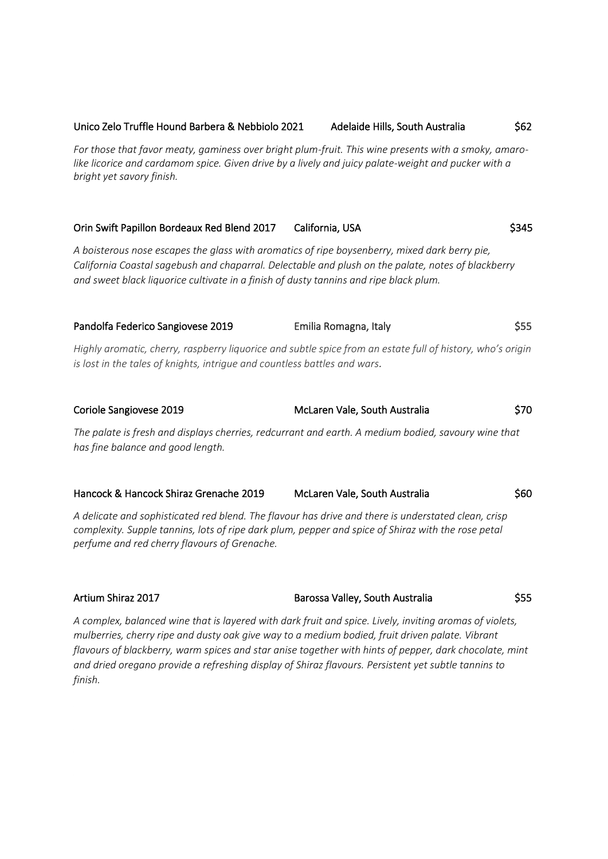#### Unico Zelo Truffle Hound Barbera & Nebbiolo 2021 Adelaide Hills, South Australia  $\frac{$62}{ }$

*For those that favor meaty, gaminess over bright plum-fruit. This wine presents with a smoky, amarolike licorice and cardamom spice. Given drive by a lively and juicy palate-weight and pucker with a bright yet savory finish.*

#### Orin Swift Papillon Bordeaux Red Blend 2017 California, USA **\$345**

*A boisterous nose escapes the glass with aromatics of ripe boysenberry, mixed dark berry pie, California Coastal sagebush and chaparral. Delectable and plush on the palate, notes of blackberry and sweet black liquorice cultivate in a finish of dusty tannins and ripe black plum.* 

Pandolfa Federico Sangiovese 2019 Emilia Romagna, Italy \$55 *Highly aromatic, cherry, raspberry liquorice and subtle spice from an estate full of history, who's origin* 

*is lost in the tales of knights, intrigue and countless battles and wars.*

| Coriole Sangiovese 2019                                                                                                                  | S70<br>McLaren Vale, South Australia |
|------------------------------------------------------------------------------------------------------------------------------------------|--------------------------------------|
| The palate is fresh and displays cherries, redcurrant and earth. A medium bodied, savoury wine that<br>has fine balance and good length. |                                      |

| Hancock & Hancock Shiraz Grenache 2019 | McLaren Vale, South Australia | \$60 |
|----------------------------------------|-------------------------------|------|
|----------------------------------------|-------------------------------|------|

*A delicate and sophisticated red blend. The flavour has drive and there is understated clean, crisp complexity. Supple tannins, lots of ripe dark plum, pepper and spice of Shiraz with the rose petal perfume and red cherry flavours of Grenache.*

Artium Shiraz 2017 **Barossa Valley, South Australia** \$55

*A complex, balanced wine that is layered with dark fruit and spice. Lively, inviting aromas of violets, mulberries, cherry ripe and dusty oak give way to a medium bodied, fruit driven palate. Vibrant flavours of blackberry, warm spices and star anise together with hints of pepper, dark chocolate, mint and dried oregano provide a refreshing display of Shiraz flavours. Persistent yet subtle tannins to finish.*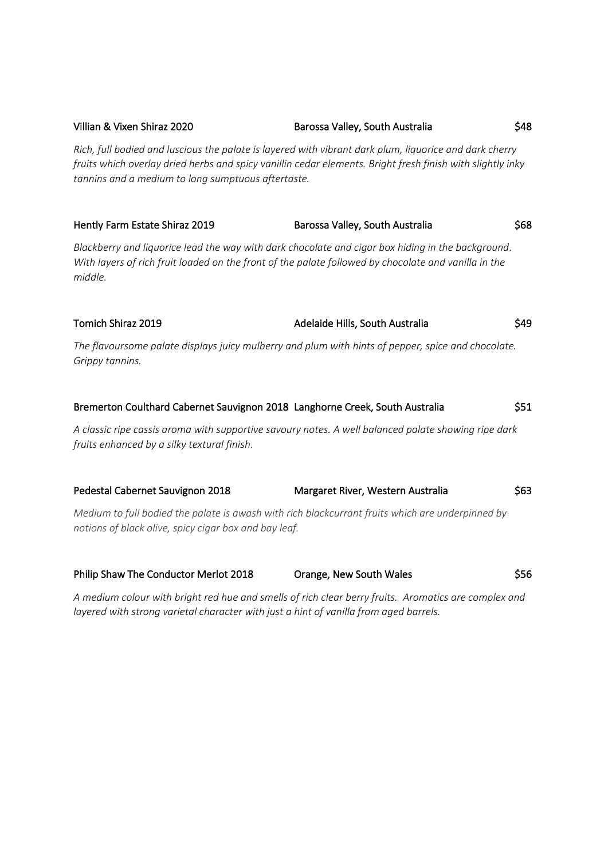# *Rich, full bodied and luscious the palate is layered with vibrant dark plum, liquorice and dark cherry fruits which overlay dried herbs and spicy vanillin cedar elements. Bright fresh finish with slightly inky tannins and a medium to long sumptuous aftertaste.* Hently Farm Estate Shiraz 2019 Barossa Valley, South Australia \$68

*Blackberry and liquorice lead the way with dark chocolate and cigar box hiding in the background. With layers of rich fruit loaded on the front of the palate followed by chocolate and vanilla in the middle.*

# Tomich Shiraz 2019 **Adelaide Hills, South Australia** \$49

*The flavoursome palate displays juicy mulberry and plum with hints of pepper, spice and chocolate. Grippy tannins.*

| Bremerton Coulthard Cabernet Sauvignon 2018 Langhorne Creek, South Australia                                                                       |                                   | \$51 |
|----------------------------------------------------------------------------------------------------------------------------------------------------|-----------------------------------|------|
| A classic ripe cassis aroma with supportive savoury notes. A well balanced palate showing ripe dark<br>fruits enhanced by a silky textural finish. |                                   |      |
| Pedestal Cabernet Sauvignon 2018                                                                                                                   | Margaret River, Western Australia | \$63 |
| Medium to full bodied the palate is awash with rich blackcurrant fruits which are underpinned by                                                   |                                   |      |

*notions of black olive, spicy cigar box and bay leaf.* 

| Philip Shaw The Conductor Merlot 2018 | Orange, New South Wales | \$56 |
|---------------------------------------|-------------------------|------|
|                                       |                         |      |

*A medium colour with bright red hue and smells of rich clear berry fruits. Aromatics are complex and layered with strong varietal character with just a hint of vanilla from aged barrels.*

Villian & Vixen Shiraz 2020 **Barossa Valley, South Australia** \$48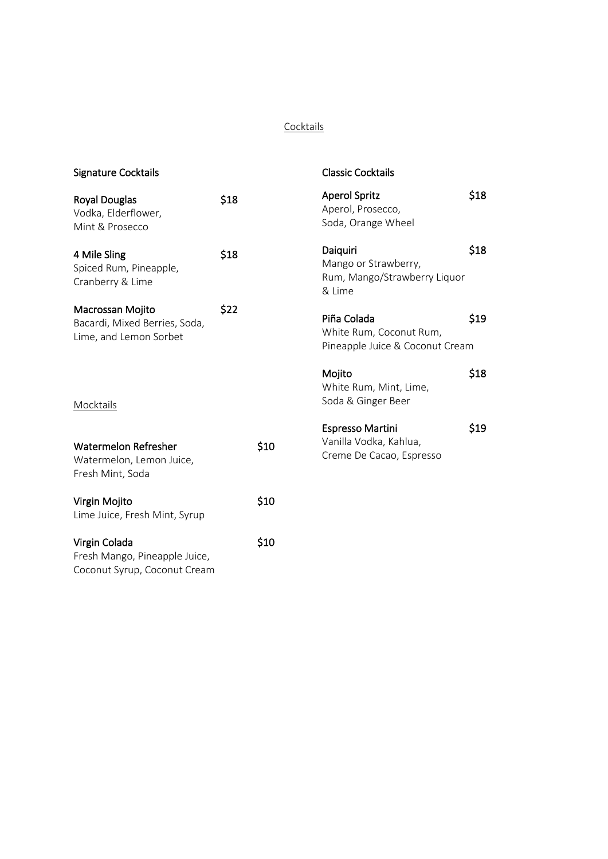### **Cocktails**

| <b>Signature Cocktails</b>                                                     |      |      | <b>Classic Cocktails</b>                                                      |      |
|--------------------------------------------------------------------------------|------|------|-------------------------------------------------------------------------------|------|
| <b>Royal Douglas</b><br>Vodka, Elderflower,<br>Mint & Prosecco                 | \$18 |      | <b>Aperol Spritz</b><br>Aperol, Prosecco,<br>Soda, Orange Wheel               | \$18 |
| 4 Mile Sling<br>Spiced Rum, Pineapple,<br>Cranberry & Lime                     | \$18 |      | Daiquiri<br>Mango or Strawberry,<br>Rum, Mango/Strawberry Liquor<br>& Lime    | \$18 |
| Macrossan Mojito<br>Bacardi, Mixed Berries, Soda,<br>Lime, and Lemon Sorbet    | \$22 |      | Piña Colada<br>White Rum, Coconut Rum,<br>Pineapple Juice & Coconut Cream     | \$19 |
| Mocktails                                                                      |      |      | Mojito<br>White Rum, Mint, Lime,<br>Soda & Ginger Beer                        | \$18 |
| <b>Watermelon Refresher</b><br>Watermelon, Lemon Juice,<br>Fresh Mint, Soda    |      | \$10 | <b>Espresso Martini</b><br>Vanilla Vodka, Kahlua,<br>Creme De Cacao, Espresso | \$19 |
| Virgin Mojito<br>Lime Juice, Fresh Mint, Syrup                                 |      | \$10 |                                                                               |      |
| Virgin Colada<br>Fresh Mango, Pineapple Juice,<br>Coconut Syrup, Coconut Cream |      | \$10 |                                                                               |      |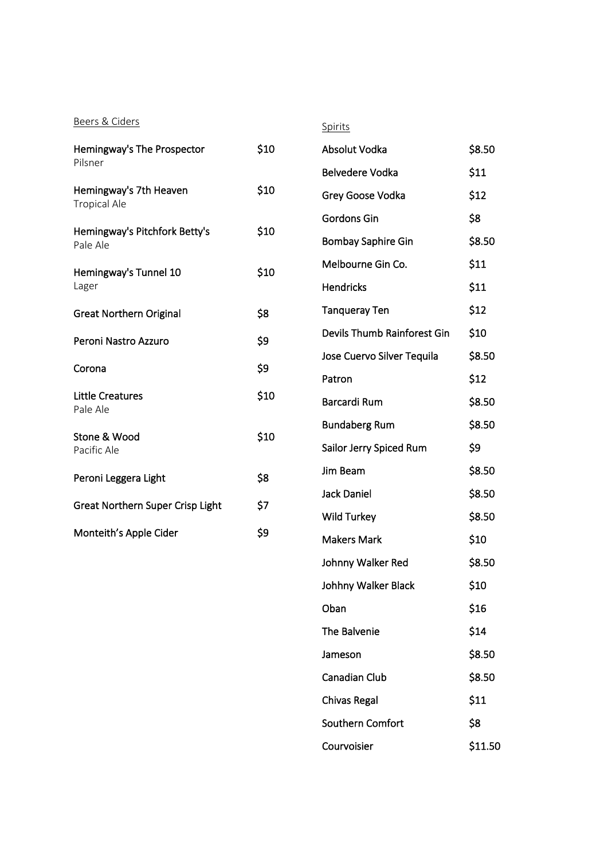Beers & Ciders

|--|

| Hemingway's The Prospector<br>Pilsner         | \$10 |
|-----------------------------------------------|------|
| Hemingway's 7th Heaven<br><b>Tropical Ale</b> | \$10 |
| Hemingway's Pitchfork Betty's<br>Pale Ale     | \$10 |
| Hemingway's Tunnel 10<br>Lager                | \$10 |
| <b>Great Northern Original</b>                | \$8  |
| Peroni Nastro Azzuro                          | \$9  |
| Corona                                        | \$9  |
| <b>Little Creatures</b><br>Pale Ale           | \$10 |
| Stone & Wood<br>Pacific Ale                   | \$10 |
| Peroni Leggera Light                          | \$8  |
| <b>Great Northern Super Crisp Light</b>       | \$7  |
| Monteith's Apple Cider                        | \$9  |

| Absolut Vodka               | \$8.50  |
|-----------------------------|---------|
| <b>Belvedere Vodka</b>      | \$11    |
| Grey Goose Vodka            | \$12    |
| Gordons Gin                 | \$8     |
| <b>Bombay Saphire Gin</b>   | \$8.50  |
| Melbourne Gin Co.           | \$11    |
| <b>Hendricks</b>            | \$11    |
| <b>Tanqueray Ten</b>        | \$12    |
| Devils Thumb Rainforest Gin | \$10    |
| Jose Cuervo Silver Tequila  | \$8.50  |
| Patron                      | \$12    |
| Barcardi Rum                | \$8.50  |
| <b>Bundaberg Rum</b>        | \$8.50  |
| Sailor Jerry Spiced Rum     | \$9     |
| Jim Beam                    | \$8.50  |
| Jack Daniel                 | \$8.50  |
| Wild Turkey                 | \$8.50  |
| <b>Makers Mark</b>          | \$10    |
| Johnny Walker Red           | \$8.50  |
| Johhny Walker Black         | \$10    |
| Oban                        | \$16    |
| The Balvenie                | \$14    |
| Jameson                     | \$8.50  |
| <b>Canadian Club</b>        | \$8.50  |
| <b>Chivas Regal</b>         | \$11    |
| Southern Comfort            | \$8     |
| Courvoisier                 | \$11.50 |
|                             |         |